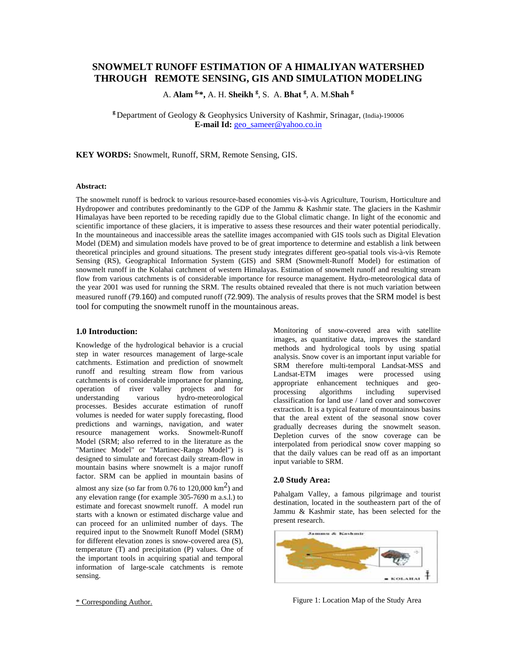# **SNOWMELT RUNOFF ESTIMATION OF A HIMALIYAN WATERSHED THROUGH REMOTE SENSING, GIS AND SIMULATION MODELING**

A. **Alam g,\*,** A. H. **Sheikh <sup>g</sup>** , S. A. **Bhat <sup>g</sup>** , A. M.**Shah <sup>g</sup>**

**<sup>g</sup>**Department of Geology & Geophysics University of Kashmir, Srinagar, (India)-190006 **E-mail Id:** [geo\\_sameer@yahoo.co.in](mailto:geo_sameer@yahoo.co.in)

**KEY WORDS:** Snowmelt, Runoff, SRM, Remote Sensing, GIS.

#### **Abstract:**

The snowmelt runoff is bedrock to various resource-based economies vis-à-vis Agriculture, Tourism, Horticulture and Hydropower and contributes predominantly to the GDP of the Jammu & Kashmir state. The glaciers in the Kashmir Himalayas have been reported to be receding rapidly due to the Global climatic change. In light of the economic and scientific importance of these glaciers, it is imperative to assess these resources and their water potential periodically. In the mountaineous and inaccessible areas the satellite images accompanied with GIS tools such as Digital Elevation Model (DEM) and simulation models have proved to be of great importence to determine and establish a link between theoretical principles and ground situations. The present study integrates different geo-spatial tools vis-à-vis Remote Sensing (RS), Geographical Information System (GIS) and SRM (Snowmelt-Runoff Model) for estimation of snowmelt runoff in the Kolahai catchment of western Himalayas. Estimation of snowmelt runoff and resulting stream flow from various catchments is of considerable importance for resource management. Hydro-meteorological data of the year 2001 was used for running the SRM. The results obtained revealed that there is not much variation between measured runoff (79.160) and computed runoff (72.909). The analysis of results proves that the SRM model is best tool for computing the snowmelt runoff in the mountainous areas.

## **1.0 Introduction:**

Knowledge of the hydrological behavior is a crucial step in water resources management of large-scale catchments. Estimation and prediction of snowmelt runoff and resulting stream flow from various catchments is of considerable importance for planning, operation of river valley projects and for<br>understanding various hydro-meteorological various hydro-meteorological processes. Besides accurate estimation of runoff volumes is needed for water supply forecasting, flood predictions and warnings, navigation, and water resource management works. Snowmelt-Runoff Model (SRM; also referred to in the literature as the "Martinec Model" or "Martinec-Rango Model") is designed to simulate and forecast daily stream-flow in mountain basins where snowmelt is a major runoff factor. SRM can be applied in mountain basins of almost any size (so far from 0.76 to 120,000  $\text{km}^2$ ) and any elevation range (for example 305-7690 m a.s.l.) to estimate and forecast snowmelt runoff. A model run starts with a known or estimated discharge value and can proceed for an unlimited number of days. The required input to the Snowmelt Runoff Model (SRM) for different elevation zones is snow-covered area (S), temperature (T) and precipitation (P) values. One of the important tools in acquiring spatial and temporal information of large-scale catchments is remote sensing.

Monitoring of snow-covered area with satellite images, as quantitative data, improves the standard methods and hydrological tools by using spatial analysis. Snow cover is an important input variable for SRM therefore multi-temporal Landsat-MSS and Landsat-ETM images were processed using appropriate enhancement techniques and geoprocessing algorithms including supervised classification for land use / land cover and sonwcover extraction. It is a typical feature of mountainous basins that the areal extent of the seasonal snow cover gradually decreases during the snowmelt season. Depletion curves of the snow coverage can be interpolated from periodical snow cover mapping so that the daily values can be read off as an important input variable to SRM.

#### **2.0 Study Area:**

Pahalgam Valley, a famous pilgrimage and tourist destination, located in the southeastern part of the of Jammu & Kashmir state, has been selected for the present research.



Figure 1: Location Map of the Study Area

\* Corresponding Author.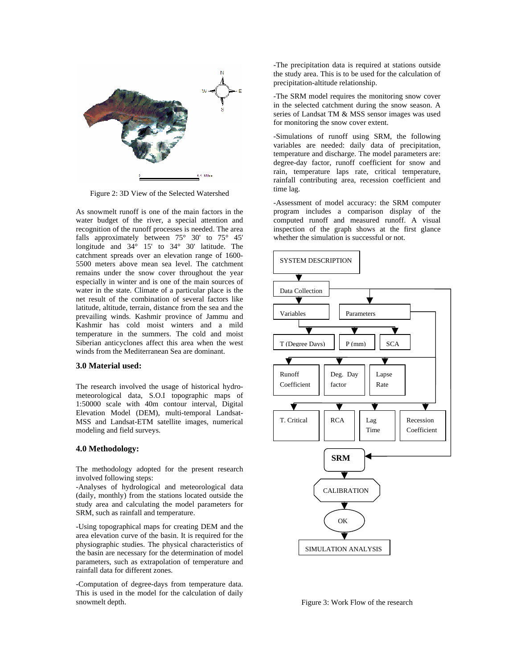

Figure 2: 3D View of the Selected Watershed

As snowmelt runoff is one of the main factors in the water budget of the river, a special attention and recognition of the runoff processes is needed. The area falls approximately between 75° 30' to 75° 45' longitude and 34° 15' to 34° 30' latitude. The catchment spreads over an elevation range of 1600- 5500 meters above mean sea level. The catchment remains under the snow cover throughout the year especially in winter and is one of the main sources of water in the state. Climate of a particular place is the net result of the combination of several factors like latitude, altitude, terrain, distance from the sea and the prevailing winds. Kashmir province of Jammu and Kashmir has cold moist winters and a mild temperature in the summers. The cold and moist Siberian anticyclones affect this area when the west winds from the Mediterranean Sea are dominant.

#### **3.0 Material used:**

The research involved the usage of historical hydrometeorological data, S.O.I topographic maps of 1:50000 scale with 40m contour interval, Digital Elevation Model (DEM), multi-temporal Landsat-MSS and Landsat-ETM satellite images, numerical modeling and field surveys.

### **4.0 Methodology:**

The methodology adopted for the present research involved following steps:

-Analyses of hydrological and meteorological data (daily, monthly) from the stations located outside the study area and calculating the model parameters for SRM, such as rainfall and temperature.

-Using topographical maps for creating DEM and the area elevation curve of the basin. It is required for the physiographic studies. The physical characteristics of the basin are necessary for the determination of model parameters, such as extrapolation of temperature and rainfall data for different zones.

-Computation of degree-days from temperature data. This is used in the model for the calculation of daily snowmelt depth.

-The precipitation data is required at stations outside the study area. This is to be used for the calculation of precipitation-altitude relationship.

-The SRM model requires the monitoring snow cover in the selected catchment during the snow season. A series of Landsat TM & MSS sensor images was used for monitoring the snow cover extent.

-Simulations of runoff using SRM, the following variables are needed: daily data of precipitation, temperature and discharge. The model parameters are: degree-day factor, runoff coefficient for snow and rain, temperature laps rate, critical temperature, rainfall contributing area, recession coefficient and time lag.

-Assessment of model accuracy: the SRM computer program includes a comparison display of the computed runoff and measured runoff. A visual inspection of the graph shows at the first glance whether the simulation is successful or not.



Figure 3: Work Flow of the research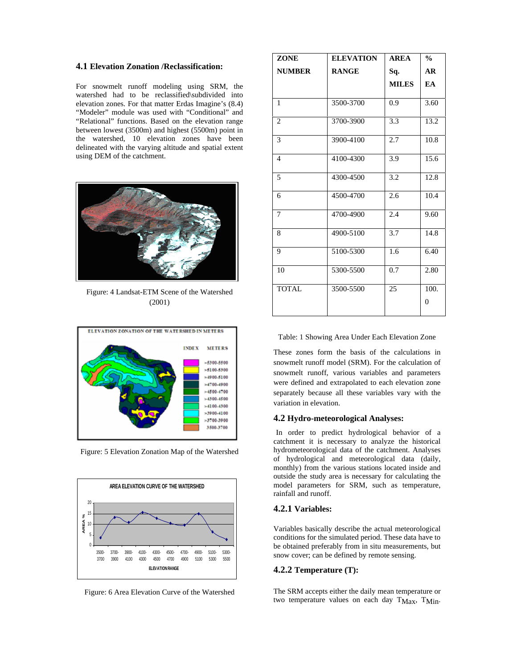#### **4.1 Elevation Zonation /Reclassification:**

For snowmelt runoff modeling using SRM, the watershed had to be reclassified\subdivided into elevation zones. For that matter Erdas Imagine's (8.4) "Modeler" module was used with "Conditional" and "Relational" functions. Based on the elevation range between lowest (3500m) and highest (5500m) point in the watershed, 10 elevation zones have been delineated with the varying altitude and spatial extent using DEM of the catchment.



Figure: 4 Landsat-ETM Scene of the Watershed (2001)



Figure: 5 Elevation Zonation Map of the Watershed



Figure: 6 Area Elevation Curve of the Watershed

| <b>ZONE</b>     | <b>ELEVATION</b> | <b>AREA</b>  | $\frac{0}{0}$ |
|-----------------|------------------|--------------|---------------|
| <b>NUMBER</b>   | <b>RANGE</b>     | Sq.          | <b>AR</b>     |
|                 |                  | <b>MILES</b> | EA            |
|                 |                  |              |               |
| 1               | 3500-3700        | 0.9          | 3.60          |
| $\overline{2}$  | 3700-3900        | 3.3          | 13.2          |
| 3               | 3900-4100        | 2.7          | 10.8          |
| $\overline{4}$  | 4100-4300        | 3.9          | 15.6          |
| 5               | 4300-4500        | 3.2          | 12.8          |
| 6               | 4500-4700        | 2.6          | 10.4          |
| 7               | 4700-4900        | $2.\bar{4}$  | 9.60          |
| 8               | 4900-5100        | 3.7          | 14.8          |
| 9               | 5100-5300        | 1.6          | 6.40          |
| $\overline{10}$ | 5300-5500        | 0.7          | 2.80          |
| <b>TOTAL</b>    | 3500-5500        | 25           | 100.          |
|                 |                  |              | 0             |

Table: 1 Showing Area Under Each Elevation Zone

These zones form the basis of the calculations in snowmelt runoff model (SRM). For the calculation of snowmelt runoff, various variables and parameters were defined and extrapolated to each elevation zone separately because all these variables vary with the variation in elevation.

#### **4.2 Hydro-meteorological Analyses:**

In order to predict hydrological behavior of a catchment it is necessary to analyze the historical hydrometeorological data of the catchment. Analyses of hydrological and meteorological data (daily, monthly) from the various stations located inside and outside the study area is necessary for calculating the model parameters for SRM, such as temperature, rainfall and runoff.

#### **4.2.1 Variables:**

Variables basically describe the actual meteorological conditions for the simulated period. These data have to be obtained preferably from in situ measurements, but snow cover; can be defined by remote sensing.

#### **4.2.2 Temperature (T):**

The SRM accepts either the daily mean temperature or two temperature values on each day TMax, TMin.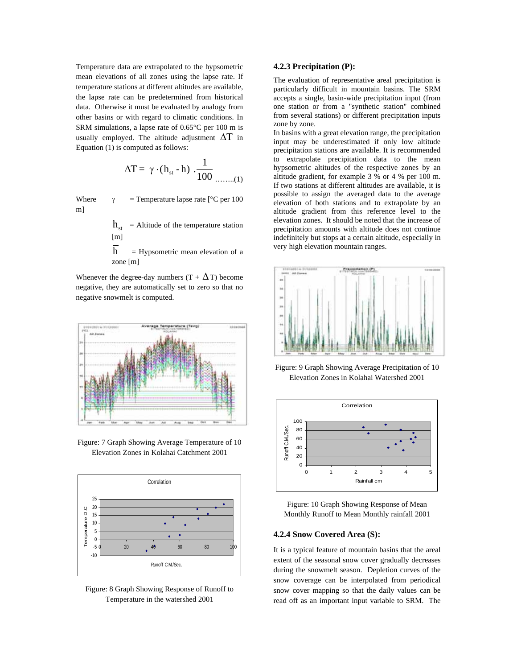Temperature data are extrapolated to the hypsometric mean elevations of all zones using the lapse rate. If temperature stations at different altitudes are available, the lapse rate can be predetermined from historical data. Otherwise it must be evaluated by analogy from other basins or with regard to climatic conditions. In SRM simulations, a lapse rate of 0.65°C per 100 m is usually employed. The altitude adjustment  $\Delta T$  in Equation (1) is computed as follows:

$$
\Delta T = \gamma \cdot (h_{st} - \overline{h}) \cdot \frac{1}{100} \dots \dots (1)
$$

Where  $\gamma$  = Temperature lapse rate [°C per 100 m]

> $h_{st}$  = Altitude of the temperature station [m]

> $\overline{h}$  = Hypsometric mean elevation of a zone [m]

Whenever the degree-day numbers  $(T + \Delta T)$  become negative, they are automatically set to zero so that no negative snowmelt is computed.



Figure: 7 Graph Showing Average Temperature of 10 Elevation Zones in Kolahai Catchment 2001



Figure: 8 Graph Showing Response of Runoff to Temperature in the watershed 2001

### **4.2.3 Precipitation (P):**

The evaluation of representative areal precipitation is particularly difficult in mountain basins. The SRM accepts a single, basin-wide precipitation input (from one station or from a "synthetic station" combined from several stations) or different precipitation inputs zone by zone.

In basins with a great elevation range, the precipitation input may be underestimated if only low altitude precipitation stations are available. It is recommended to extrapolate precipitation data to the mean hypsometric altitudes of the respective zones by an altitude gradient, for example 3 % or 4 % per 100 m. If two stations at different altitudes are available, it is possible to assign the averaged data to the average elevation of both stations and to extrapolate by an altitude gradient from this reference level to the elevation zones. It should be noted that the increase of precipitation amounts with altitude does not continue indefinitely but stops at a certain altitude, especially in very high elevation mountain ranges.



Figure: 9 Graph Showing Average Precipitation of 10 Elevation Zones in Kolahai Watershed 2001



Figure: 10 Graph Showing Response of Mean Monthly Runoff to Mean Monthly rainfall 2001

### **4.2.4 Snow Covered Area (S):**

It is a typical feature of mountain basins that the areal extent of the seasonal snow cover gradually decreases during the snowmelt season. Depletion curves of the snow coverage can be interpolated from periodical snow cover mapping so that the daily values can be read off as an important input variable to SRM. The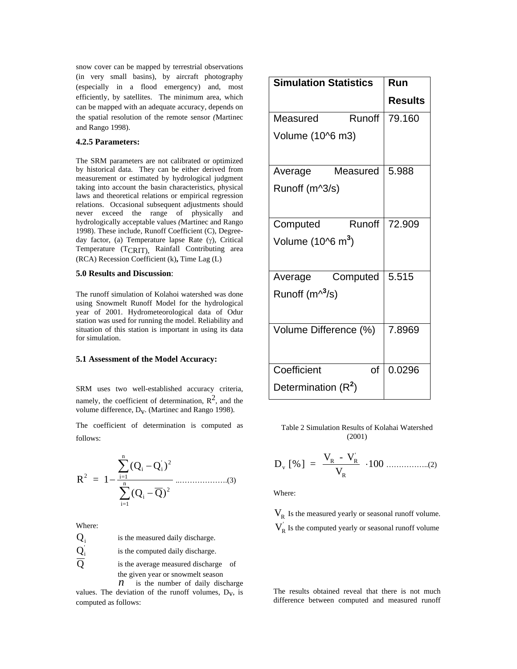snow cover can be mapped by terrestrial observations (in very small basins), by aircraft photography (especially in a flood emergency) and, most efficiently, by satellites. The minimum area, which can be mapped with an adequate accuracy, depends on the spatial resolution of the remote sensor *(*Martinec and Rango 1998).

# **4.2.5 Parameters:**

The SRM parameters are not calibrated or optimized by historical data. They can be either derived from measurement or estimated by hydrological judgment taking into account the basin characteristics, physical laws and theoretical relations or empirical regression relations. Occasional subsequent adjustments should never exceed the range of physically and hydrologically acceptable values *(*Martinec and Rango 1998). These include, Runoff Coefficient (C), Degreeday factor, (a) Temperature lapse Rate (γ), Critical Temperature (TCRIT), Rainfall Contributing area (RCA) Recession Coefficient (k)**,** Time Lag (L)

#### **5.0 Results and Discussion**:

The runoff simulation of Kolahoi watershed was done using Snowmelt Runoff Model for the hydrological year of 2001. Hydrometeorological data of Odur station was used for running the model. Reliability and situation of this station is important in using its data for simulation.

#### **5.1 Assessment of the Model Accuracy:**

SRM uses two well-established accuracy criteria, namely, the coefficient of determination,  $R^2$ , and the volume difference,  $D_v$ . (Martinec and Rango 1998).

The coefficient of determination is computed as follows:

R = 1 (Q Q ) (Q Q) 2 i i i=1 n 2 i 2 i=1 <sup>n</sup> − − − ∑ ∑ ..……………….(3)

Where:

 $Q_i$  is the measured daily discharge.  $\mathbf{Q}_\text{i}^{'}$  is the computed daily discharge.  $\overline{Q}$  is the average measured discharge of

the given year or snowmelt season

 $\hat{n}$  is the number of daily discharge values. The deviation of the runoff volumes,  $D_v$ , is computed as follows:

| <b>Simulation Statistics</b>  | Run            |
|-------------------------------|----------------|
|                               | <b>Results</b> |
| Runoff<br>Measured            | 79.160         |
| Volume (10^6 m3)              |                |
| Measured<br>Average           | 5.988          |
| Runoff (m^3/s)                |                |
| Computed<br>Runoff            | 72.909         |
| Volume (10^6 m <sup>3</sup> ) |                |
| Computed<br>Average           | 5.515          |
| Runoff $(m^{\wedge^3}/s)$     |                |
| Volume Difference (%)         | 7.8969         |
| Coefficient                   | 0.0296<br>of   |
| Determination $(R^2)$         |                |

Table 2 Simulation Results of Kolahai Watershed (2001)

$$
D_{\rm v}~[~\%~]~=~\frac{V_{\rm R}~\cdot~V_{\rm R}^{'}~}{V_{\rm R}}~\cdot 100~............(2)
$$

Where:

 $V_R$  Is the measured yearly or seasonal runoff volume.  $V_R$  Is the computed yearly or seasonal runoff volume

The results obtained reveal that there is not much difference between computed and measured runoff